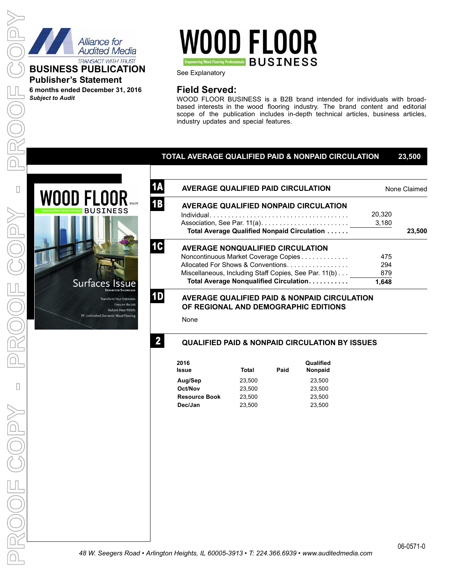

**Publisher's Statement 6 months ended December 31, 2016**

*Subject to Audit*

# **WOOD FLOOR Empowering Wood Flooring Professionals BUSINESS**

See Explanatory

# **Field Served:**

WOOD FLOOR BUSINESS is a B2B brand intended for individuals with broadbased interests in the wood flooring industry. The brand content and editorial scope of the publication includes in-depth technical articles, business articles, industry updates and special features.

## **TOTAL AVERAGE QUALIFIED PAID & NONPAID CIRCULATION 23,500**



| <b>AVERAGE QUALIFIED PAID CIRCULATION</b>             | None Claimed |        |  |
|-------------------------------------------------------|--------------|--------|--|
| <b>AVERAGE QUALIFIED NONPAID CIRCULATION</b>          |              |        |  |
|                                                       | 20.320       |        |  |
|                                                       | 3,180        |        |  |
| Total Average Qualified Nonpaid Circulation           |              | 23,500 |  |
| <b>AVERAGE NONQUALIFIED CIRCULATION</b>               |              |        |  |
| Noncontinuous Market Coverage Copies                  | 475          |        |  |
| Allocated For Shows & Conventions                     | 294          |        |  |
| Miscellaneous, Including Staff Copies, See Par. 11(b) | 879          |        |  |
| Total Average Nonqualified Circulation                | 1.648        |        |  |
|                                                       |              |        |  |

## **AVERAGE QUALIFIED PAID & NONPAID CIRCULATION OF REGIONAL AND DEMOGRAPHIC EDITIONS**

None

**1A**

**1B**

**1C**

**1D**

**2**

# **QUALIFIED PAID & NONPAID CIRCULATION BY ISSUES**

| 2016<br>Issue        | Total  | Paid | Qualified<br><b>Nonpaid</b> |
|----------------------|--------|------|-----------------------------|
| Aug/Sep              | 23.500 |      | 23.500                      |
| Oct/Nov              | 23.500 |      | 23.500                      |
| <b>Resource Book</b> | 23.500 |      | 23.500                      |
| Dec/Jan              | 23.500 |      | 23.500                      |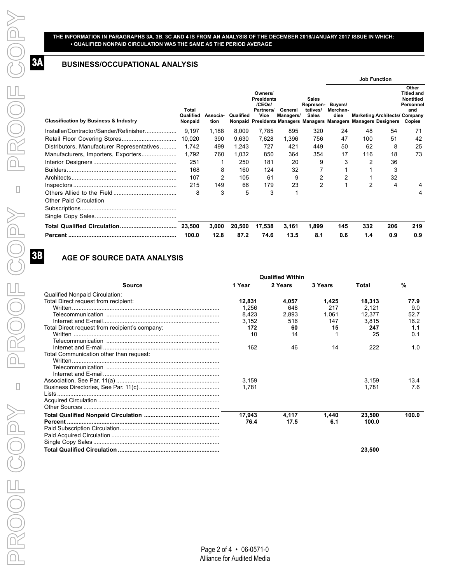**R**

#### **THE INFORMATION IN PARAGRAPHS 3A, 3B, 3C AND 4 IS FROM AN ANALYSIS OF THE DECEMBER 2016/JANUARY 2017 ISSUE IN WHICH: • QUALIFIED NONPAID CIRCULATION WAS THE SAME AS THE PERIOD AVERAGE**

## **BUSINESS/OCCUPATIONAL ANALYSIS**

|                                                  |                               |                  |           |                                                                                                                                 |                      |                                                       |                             |     | <b>Job Function</b>                  |                                                                              |
|--------------------------------------------------|-------------------------------|------------------|-----------|---------------------------------------------------------------------------------------------------------------------------------|----------------------|-------------------------------------------------------|-----------------------------|-----|--------------------------------------|------------------------------------------------------------------------------|
| <b>Classification by Business &amp; Industry</b> | Total<br>Qualified<br>Nonpaid | Associa-<br>tion | Qualified | Owners/<br><b>Presidents</b><br>/CEOs/<br>Partners/<br>Vice<br>Nonpaid Presidents Managers Managers Managers Managers Designers | General<br>Managers/ | <b>Sales</b><br>Represen-<br>tatives/<br><b>Sales</b> | Buvers/<br>Merchan-<br>dise |     | <b>Marketing Architects/ Company</b> | Other<br><b>Titled and</b><br><b>Nontitled</b><br>Personnel<br>and<br>Copies |
| Installer/Contractor/Sander/Refinisher           | 9.197                         | 1,188            | 8,009     | 7,785                                                                                                                           | 895                  | 320                                                   | 24                          | 48  | 54                                   | 71                                                                           |
|                                                  | 10,020                        | 390              | 9,630     | 7,628                                                                                                                           | 1,396                | 756                                                   | 47                          | 100 | 51                                   | 42                                                                           |
| Distributors, Manufacturer Representatives       | 1.742                         | 499              | 1.243     | 727                                                                                                                             | 421                  | 449                                                   | 50                          | 62  | 8                                    | 25                                                                           |
| Manufacturers, Importers, Exporters              | 1.792                         | 760              | 1,032     | 850                                                                                                                             | 364                  | 354                                                   | 17                          | 116 | 18                                   | 73                                                                           |
|                                                  | 251                           | 1                | 250       | 181                                                                                                                             | 20                   | 9                                                     | 3                           | 2   | 36                                   |                                                                              |
|                                                  | 168                           | 8                | 160       | 124                                                                                                                             | 32                   | 7                                                     |                             |     | 3                                    |                                                                              |
|                                                  | 107                           | 2                | 105       | 61                                                                                                                              | 9                    | 2                                                     | 2                           |     | 32                                   |                                                                              |
|                                                  | 215                           | 149              | 66        | 179                                                                                                                             | 23                   | $\overline{2}$                                        |                             | 2   | 4                                    |                                                                              |
| <b>Other Paid Circulation</b>                    | 8                             | 3                | 5         | 3                                                                                                                               | 1                    |                                                       |                             |     |                                      | 4                                                                            |
|                                                  |                               |                  |           |                                                                                                                                 |                      |                                                       |                             |     |                                      |                                                                              |
|                                                  | 23,500                        | 3,000            | 20,500    | 17,538                                                                                                                          | 3,161                | 1.899                                                 | 145                         | 332 | 206                                  | 219                                                                          |
|                                                  | 100.0                         | 12.8             | 87.2      | 74.6                                                                                                                            | 13.5                 | 8.1                                                   | 0.6                         | 1.4 | 0.9                                  | 0.9                                                                          |

# **AGE OF SOURCE DATA ANALYSIS**

|                                                |        | <b>Qualified Within</b> |         |        |       |
|------------------------------------------------|--------|-------------------------|---------|--------|-------|
| Source                                         | 1 Year | 2 Years                 | 3 Years | Total  | %     |
| <b>Qualified Nonpaid Circulation:</b>          |        |                         |         |        |       |
| Total Direct request from recipient:           | 12,831 | 4,057                   | 1,425   | 18,313 | 77.9  |
|                                                | 1,256  | 648                     | 217     | 2.121  | 9.0   |
|                                                | 8,423  | 2,893                   | 1,061   | 12,377 | 52.7  |
|                                                | 3,152  | 516                     | 147     | 3,815  | 16.2  |
| Total Direct request from recipient's company: | 172    | 60                      | 15      | 247    | 1.1   |
|                                                | 10     | 14                      |         | 25     | 0.1   |
|                                                |        |                         |         |        |       |
|                                                | 162    | 46                      | 14      | 222    | 1.0   |
| Total Communication other than request:        |        |                         |         |        |       |
|                                                |        |                         |         |        |       |
|                                                |        |                         |         |        |       |
|                                                |        |                         |         |        |       |
|                                                | 3,159  |                         |         | 3,159  | 13.4  |
|                                                | 1.781  |                         |         | 1,781  | 7.6   |
|                                                |        |                         |         |        |       |
|                                                |        |                         |         |        |       |
|                                                |        |                         |         |        |       |
|                                                | 17,943 | 4,117                   | 1,440   | 23,500 | 100.0 |
| Percent ………………………………………………………………………………         | 76.4   | 17.5                    | 6.1     | 100.0  |       |
|                                                |        |                         |         |        |       |
|                                                |        |                         |         |        |       |
|                                                |        |                         |         |        |       |
|                                                |        |                         |         | 23,500 |       |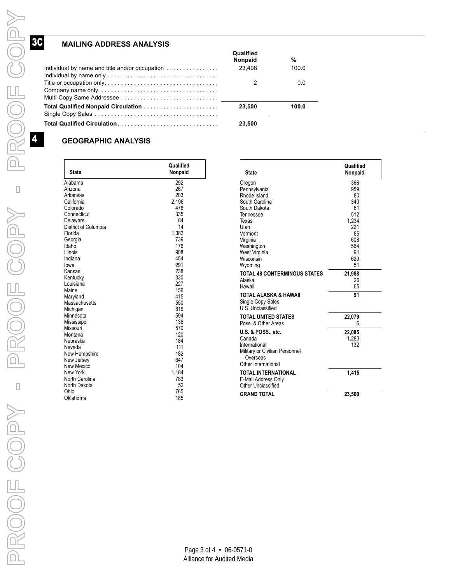# **MAILING ADDRESS ANALYSIS**

|                                                           | Qualified<br>Nonpaid | %     |
|-----------------------------------------------------------|----------------------|-------|
| Individual by name and title and/or occupation $\ldots$ , | 23.498               | 100.0 |
|                                                           |                      | 0.0   |
|                                                           | 23.500               | 100.0 |
|                                                           | 23.500               |       |

## **GEOGRAPHIC ANALYSIS**

| <b>State</b>         | Qualified<br>Nonpaid | <b>State</b>                               | Qualified<br>Nonpaid |
|----------------------|----------------------|--------------------------------------------|----------------------|
| Alabama              | 292                  | Oregon                                     | 366                  |
| Arizona              | 267                  | Pennsylvania                               | 959                  |
| Arkansas             | 203                  | Rhode Island                               | 80                   |
| California           | 2,196                | South Carolina                             | 340                  |
| Colorado             | 476                  | South Dakota                               | 81                   |
| Connecticut          | 335                  | Tennessee                                  | 512                  |
| Delaware             | 84                   | Texas                                      | 1.234                |
| District of Columbia | 14                   | Utah                                       | 221                  |
| Florida              | 1,383                | Vermont                                    | 85                   |
| Georgia              | 739                  | Virginia                                   | 608                  |
| Idaho                | 176                  | Washington                                 | 564                  |
| <b>Illinois</b>      | 908                  | West Virginia                              | 91                   |
| Indiana              | 454                  | Wisconsin                                  | 629                  |
| lowa                 | 291                  | Wyoming                                    | 51                   |
| Kansas               | 238                  | <b>TOTAL 48 CONTERMINOUS STATES</b>        | 21,988               |
| Kentucky             | 330                  | Alaska                                     | 26                   |
| Louisiana            | 227                  | Hawaii                                     | 65                   |
| Maine                | 156                  |                                            |                      |
| Maryland             | 415                  | <b>TOTAL ALASKA &amp; HAWAII</b>           | 91                   |
| Massachusetts        | 550                  | Single Copy Sales                          |                      |
| Michigan             | 816                  | U.S. Unclassified                          |                      |
| Minnesota            | 594                  | <b>TOTAL UNITED STATES</b>                 | 22,079               |
| Mississippi          | 136                  | Poss, & Other Areas                        | 6                    |
| Missouri             | 570                  | <b>U.S. &amp; POSS., etc.</b>              |                      |
| Montana              | 120                  | Canada                                     | 22,085               |
| Nebraska             | 184                  | International                              | 1,283<br>132         |
| Nevada               | 111                  |                                            |                      |
| New Hampshire        | 182                  | Military or Civilian Personnel<br>Overseas |                      |
| New Jersey           | 647                  | Other International                        |                      |
| New Mexico           | 104                  |                                            |                      |
| New York             | 1,184                | <b>TOTAL INTERNATIONAL</b>                 | 1,415                |
| North Carolina       | 783                  | E-Mail Address Only                        |                      |
| North Dakota         | 52                   | Other Unclassified                         |                      |
| Ohio                 | 765                  | <b>GRAND TOTAL</b>                         | 23,500               |
| Oklahoma             | 185                  |                                            |                      |

|                                     | Qualified |
|-------------------------------------|-----------|
| <b>State</b>                        | Nonpaid   |
| Oregon                              | 366       |
| Pennsylvania                        | 959       |
| Rhode Island                        | 80        |
| South Carolina                      | 340       |
| South Dakota                        | 81<br>512 |
| Tennessee<br>Texas                  | 1.234     |
| Utah                                | 221       |
| Vermont                             | 85        |
| Virginia                            | 608       |
| Washington                          | 564       |
| West Virginia                       | 91        |
| Wisconsin                           | 629       |
| Wyoming                             | 51        |
| <b>TOTAL 48 CONTERMINOUS STATES</b> | 21,988    |
| Alaska                              | 26        |
| Hawaii                              | 65        |
| <b>TOTAL ALASKA &amp; HAWAII</b>    | 91        |
| Single Copy Sales                   |           |
| U.S. Unclassified                   |           |
| TOTAL UNITED STATES                 | 22,079    |
| Poss, & Other Areas                 | 6         |
| <b>U.S. &amp; POSS., etc.</b>       | 22,085    |
| Canada                              | 1.283     |
| International                       | 132       |
| Military or Civilian Personnel      |           |
| Overseas<br>Other International     |           |
|                                     |           |
| TOTAL INTERNATIONAL                 | 1.415     |
| E-Mail Address Only                 |           |
| Other Unclassified                  |           |
| <b>GRAND TOTAL</b>                  | 23,500    |



**Y**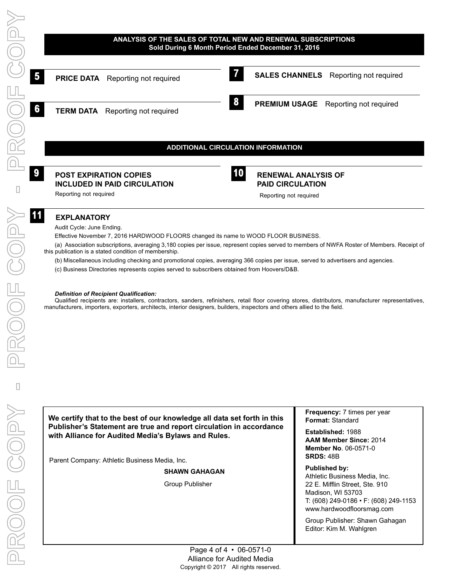

- (b) Miscellaneous including checking and promotional copies, averaging 366 copies per issue, served to advertisers and agencies.
- (c) Business Directories represents copies served to subscribers obtained from Hoovers/D&B.

#### *Definition of Recipient Qualification:*

Qualified recipients are: installers, contractors, sanders, refinishers, retail floor covering stores, distributors, manufacturer representatives, manufacturers, importers, exporters, architects, interior designers, builders, inspectors and others allied to the field.

**We certify that to the best of our knowledge all data set forth in this Publisher's Statement are true and report circulation in accordance with Alliance for Audited Media's Bylaws and Rules.**

Parent Company: Athletic Business Media, Inc.

**SHAWN GAHAGAN**

Group Publisher

**Frequency:** 7 times per year **Format:** Standard

**Established:** 1988 **AAM Member Since:** 2014 **Member No**. 06-0571-0 **SRDS:** 48B

#### **Published by:**

Athletic Business Media, Inc. 22 E. Mifflin Street, Ste. 910 Madison, WI 53703 T: (608) 249-0186 • F: (608) 249-1153 www.hardwoodfloorsmag.com

Group Publisher: Shawn Gahagan Editor: Kim M. Wahlgren